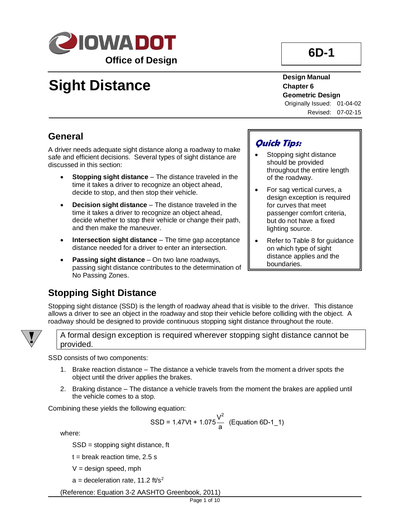

# **6D-1**

# **Sight Distance**

**Design Manual Chapter 6 Geometric Design** Originally Issued: 01-04-02

Revised: 07-02-15

# **General**

A driver needs adequate sight distance along a roadway to make safe and efficient decisions. Several types of sight distance are discussed in this section:

- **Stopping sight distance** The distance traveled in the time it takes a driver to recognize an object ahead, decide to stop, and then stop their vehicle.
- **Decision sight distance** The distance traveled in the time it takes a driver to recognize an object ahead, decide whether to stop their vehicle or change their path, and then make the maneuver.
- **Intersection sight distance** The time gap acceptance distance needed for a driver to enter an intersection.
- **Passing sight distance** On two lane roadways, passing sight distance contributes to the determination of No Passing Zones.

# **Quick Tips:**

- Stopping sight distance should be provided throughout the entire length of the roadway.
- For sag vertical curves, a design exception is required for curves that meet passenger comfort criteria, but do not have a fixed lighting source.
- Refer to Table 8 for guidance on which type of sight distance applies and the boundaries.

# **Stopping Sight Distance**

Stopping sight distance (SSD) is the length of roadway ahead that is visible to the driver. This distance allows a driver to see an object in the roadway and stop their vehicle before colliding with the object. A roadway should be designed to provide continuous stopping sight distance throughout the route.



A formal design exception is required wherever stopping sight distance cannot be provided.

SSD consists of two components:

- 1. Brake reaction distance The distance a vehicle travels from the moment a driver spots the object until the driver applies the brakes.
- 2. Braking distance The distance a vehicle travels from the moment the brakes are applied until the vehicle comes to a stop.

Combining these yields the following equation:

$$
SSD = 1.47Vt + 1.075 \frac{V^2}{a}
$$
 (Equation 6D-1\_1)

where:

SSD = stopping sight distance, ft

 $t =$  break reaction time, 2.5 s

 $V =$  design speed, mph

 $a =$  deceleration rate, 11.2 ft/s<sup>2</sup>

(Reference: Equation 3-2 AASHTO Greenbook, 2011)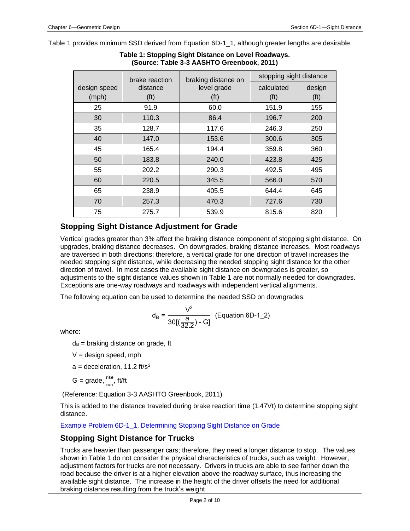Table 1 provides minimum SSD derived from Equation 6D-1\_1, although greater lengths are desirable.

|              | brake reaction    | braking distance on | stopping sight distance |                   |
|--------------|-------------------|---------------------|-------------------------|-------------------|
| design speed | distance          | level grade         | calculated              | design            |
| (mph)        | (f <sup>t</sup> ) | (ft)                | (f <sup>t</sup> )       | (f <sup>t</sup> ) |
| 25           | 91.9              | 60.0                | 151.9                   | 155               |
| 30           | 110.3             | 86.4                | 196.7                   | 200               |
| 35           | 128.7             | 117.6               | 246.3                   | 250               |
| 40           | 147.0             | 153.6               | 300.6                   | 305               |
| 45           | 165.4             | 194.4               | 359.8                   | 360               |
| 50           | 183.8             | 240.0               | 423.8                   | 425               |
| 55           | 202.2             | 290.3               | 492.5                   | 495               |
| 60           | 220.5             | 345.5               | 566.0                   | 570               |
| 65           | 238.9             | 405.5               | 644.4                   | 645               |
| 70           | 257.3             | 470.3               | 727.6                   | 730               |
| 75           | 275.7             | 539.9               | 815.6                   | 820               |

**Table 1: Stopping Sight Distance on Level Roadways. (Source: Table 3-3 AASHTO Greenbook, 2011)**

# **Stopping Sight Distance Adjustment for Grade**

Vertical grades greater than 3% affect the braking distance component of stopping sight distance. On upgrades, braking distance decreases. On downgrades, braking distance increases. Most roadways are traversed in both directions; therefore, a vertical grade for one direction of travel increases the needed stopping sight distance, while decreasing the needed stopping sight distance for the other direction of travel. In most cases the available sight distance on downgrades is greater, so adjustments to the sight distance values shown in Table 1 are not normally needed for downgrades. Exceptions are one-way roadways and roadways with independent vertical alignments.

The following equation can be used to determine the needed SSD on downgrades:

$$
d_{B} = \frac{V^{2}}{30[(\frac{a}{32.2}) - G]}
$$
 (Equation 6D-1\_2)

where:

 $d_B$  = braking distance on grade, ft

 $V =$  design speed, mph

 $a =$  deceleration, 11.2 ft/s<sup>2</sup>

G = grade,  $\frac{\text{rise}}{\text{run}}$ , ft/ft

(Reference: Equation 3-3 AASHTO Greenbook, 2011)

This is added to the distance traveled during brake reaction time (1.47Vt) to determine stopping sight distance.

[Example Problem 6D-1\\_1, Determining Stopping Sight Distance on Grade](06D-01/ExampleProblem06D-1_1.pdf)

# **Stopping Sight Distance for Trucks**

Trucks are heavier than passenger cars; therefore, they need a longer distance to stop. The values shown in Table 1 do not consider the physical characteristics of trucks, such as weight. However, adjustment factors for trucks are not necessary. Drivers in trucks are able to see farther down the road because the driver is at a higher elevation above the roadway surface, thus increasing the available sight distance. The increase in the height of the driver offsets the need for additional braking distance resulting from the truck's weight.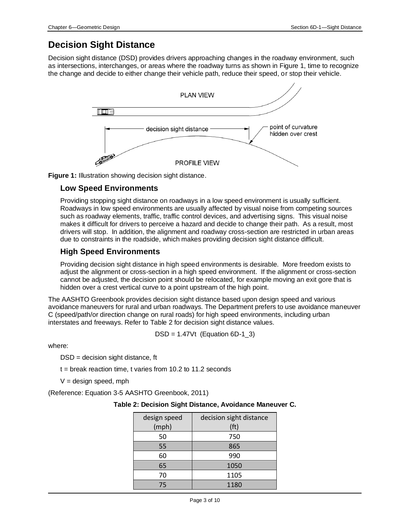# **Decision Sight Distance**

Decision sight distance (DSD) provides drivers approaching changes in the roadway environment, such as intersections, interchanges, or areas where the roadway turns as shown in Figure 1, time to recognize the change and decide to either change their vehicle path, reduce their speed, or stop their vehicle.



**Figure 1:** Illustration showing decision sight distance.

### **Low Speed Environments**

Providing stopping sight distance on roadways in a low speed environment is usually sufficient. Roadways in low speed environments are usually affected by visual noise from competing sources such as roadway elements, traffic, traffic control devices, and advertising signs. This visual noise makes it difficult for drivers to perceive a hazard and decide to change their path. As a result, most drivers will stop. In addition, the alignment and roadway cross-section are restricted in urban areas due to constraints in the roadside, which makes providing decision sight distance difficult.

# **High Speed Environments**

Providing decision sight distance in high speed environments is desirable. More freedom exists to adjust the alignment or cross-section in a high speed environment. If the alignment or cross-section cannot be adjusted, the decision point should be relocated, for example moving an exit gore that is hidden over a crest vertical curve to a point upstream of the high point.

The AASHTO Greenbook provides decision sight distance based upon design speed and various avoidance maneuvers for rural and urban roadways. The Department prefers to use avoidance maneuver C (speed/path/or direction change on rural roads) for high speed environments, including urban interstates and freeways. Refer to Table 2 for decision sight distance values.

DSD =  $1.47Vt$  (Equation 6D-1\_3)

where:

DSD = decision sight distance, ft

t = break reaction time, t varies from 10.2 to 11.2 seconds

 $V =$  design speed, mph

(Reference: Equation 3-5 AASHTO Greenbook, 2011)

#### **Table 2: Decision Sight Distance, Avoidance Maneuver C.**

| design speed<br>(mph) | decision sight distance<br>(ft) |
|-----------------------|---------------------------------|
| 50                    | 750                             |
| 55                    | 865                             |
| 60                    | 990                             |
| 65                    | 1050                            |
| 70                    | 1105                            |
| 75                    | 1180                            |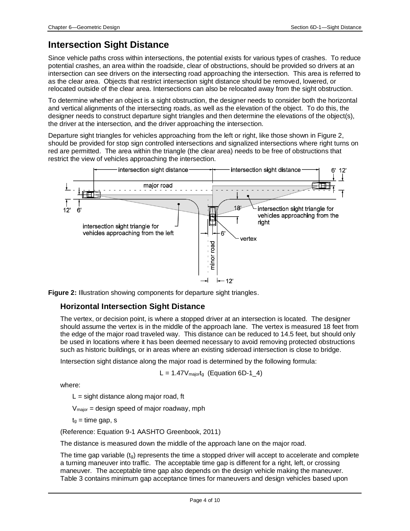# **Intersection Sight Distance**

Since vehicle paths cross within intersections, the potential exists for various types of crashes. To reduce potential crashes, an area within the roadside, clear of obstructions, should be provided so drivers at an intersection can see drivers on the intersecting road approaching the intersection. This area is referred to as the clear area. Objects that restrict intersection sight distance should be removed, lowered, or relocated outside of the clear area. Intersections can also be relocated away from the sight obstruction.

To determine whether an object is a sight obstruction, the designer needs to consider both the horizontal and vertical alignments of the intersecting roads, as well as the elevation of the object. To do this, the designer needs to construct departure sight triangles and then determine the elevations of the object(s), the driver at the intersection, and the driver approaching the intersection.

Departure sight triangles for vehicles approaching from the left or right, like those shown in Figure 2, should be provided for stop sign controlled intersections and signalized intersections where right turns on red are permitted. The area within the triangle (the clear area) needs to be free of obstructions that restrict the view of vehicles approaching the intersection.



**Figure 2:** Illustration showing components for departure sight triangles.

### **Horizontal Intersection Sight Distance**

The vertex, or decision point, is where a stopped driver at an intersection is located. The designer should assume the vertex is in the middle of the approach lane. The vertex is measured 18 feet from the edge of the major road traveled way. This distance can be reduced to 14.5 feet, but should only be used in locations where it has been deemed necessary to avoid removing protected obstructions such as historic buildings, or in areas where an existing sideroad intersection is close to bridge.

Intersection sight distance along the major road is determined by the following formula:

$$
L = 1.47 V_{\text{major}} (Equation 6D-1_4)
$$

where:

 $L =$  sight distance along major road, ft

Vmajor = design speed of major roadway, mph

 $t<sub>g</sub>$  = time gap, s

(Reference: Equation 9-1 AASHTO Greenbook, 2011)

The distance is measured down the middle of the approach lane on the major road.

The time gap variable  $(t<sub>q</sub>)$  represents the time a stopped driver will accept to accelerate and complete a turning maneuver into traffic. The acceptable time gap is different for a right, left, or crossing maneuver. The acceptable time gap also depends on the design vehicle making the maneuver. Table 3 contains minimum gap acceptance times for maneuvers and design vehicles based upon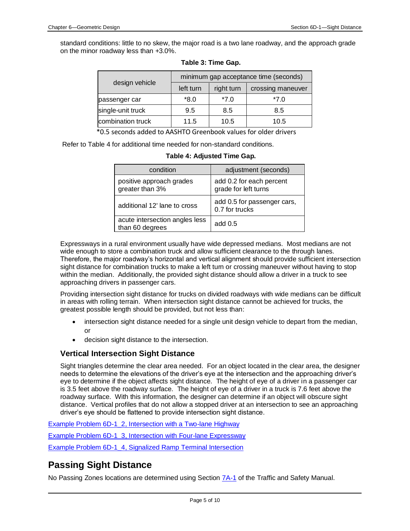standard conditions: little to no skew, the major road is a two lane roadway, and the approach grade on the minor roadway less than +3.0%.

|                   |           |            | minimum gap acceptance time (seconds) |
|-------------------|-----------|------------|---------------------------------------|
| design vehicle    | left turn | right turn | crossing maneuver                     |
| passenger car     | $*8.0$    | $*7.0$     | *7.0                                  |
| single-unit truck | 9.5       | 8.5        | 8.5                                   |
| combination truck | 11.5      | 10.5       | 10.5                                  |

| Table 3: Time Gap. |
|--------------------|
|--------------------|

\*0.5 seconds added to AASHTO Greenbook values for older drivers

Refer to Table 4 for additional time needed for non-standard conditions.

| condition                                         | adjustment (seconds)                             |
|---------------------------------------------------|--------------------------------------------------|
| positive approach grades<br>greater than 3%       | add 0.2 for each percent<br>grade for left turns |
| additional 12' lane to cross                      | add 0.5 for passenger cars,<br>0.7 for trucks    |
| acute intersection angles less<br>than 60 degrees | add $0.5$                                        |

#### **Table 4: Adjusted Time Gap.**

Expressways in a rural environment usually have wide depressed medians. Most medians are not wide enough to store a combination truck and allow sufficient clearance to the through lanes. Therefore, the major roadway's horizontal and vertical alignment should provide sufficient intersection sight distance for combination trucks to make a left turn or crossing maneuver without having to stop within the median. Additionally, the provided sight distance should allow a driver in a truck to see approaching drivers in passenger cars.

Providing intersection sight distance for trucks on divided roadways with wide medians can be difficult in areas with rolling terrain. When intersection sight distance cannot be achieved for trucks, the greatest possible length should be provided, but not less than:

- intersection sight distance needed for a single unit design vehicle to depart from the median, or
- decision sight distance to the intersection.

### **Vertical Intersection Sight Distance**

Sight triangles determine the clear area needed. For an object located in the clear area, the designer needs to determine the elevations of the driver's eye at the intersection and the approaching driver's eye to determine if the object affects sight distance. The height of eye of a driver in a passenger car is 3.5 feet above the roadway surface. The height of eye of a driver in a truck is 7.6 feet above the roadway surface. With this information, the designer can determine if an object will obscure sight distance. Vertical profiles that do not allow a stopped driver at an intersection to see an approaching driver's eye should be flattened to provide intersection sight distance.

[Example Problem 6D-1\\_2, Intersection with a Two-lane Highway](06D-01/ExampleProblem06D-1_2.pdf)

[Example Problem 6D-1\\_3, Intersection with Four-lane Expressway](06D-01/ExampleProblem06D-1_3.pdf)

[Example Problem 6D-1\\_4, Signalized Ramp Terminal Intersection](06D-01/ExampleProblem06D-1_4.pdf)

# **Passing Sight Distance**

No Passing Zones locations are determined using Section [7A-1](../../traffic/manuals/pdf/07a-01.pdf) of the Traffic and Safety Manual.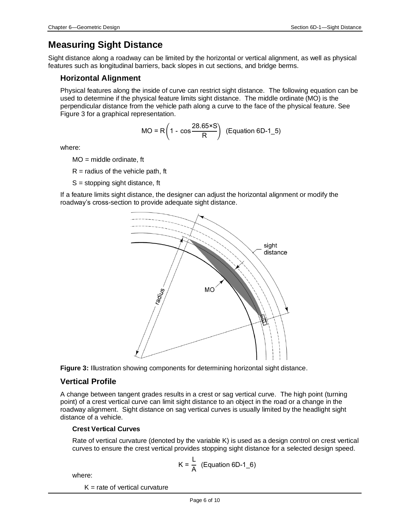# **Measuring Sight Distance**

Sight distance along a roadway can be limited by the horizontal or vertical alignment, as well as physical features such as longitudinal barriers, back slopes in cut sections, and bridge berms.

### **Horizontal Alignment**

Physical features along the inside of curve can restrict sight distance. The following equation can be used to determine if the physical feature limits sight distance. The middle ordinate (MO) is the perpendicular distance from the vehicle path along a curve to the face of the physical feature. See Figure 3 for a graphical representation.

$$
MO = R\left(1 - \cos\frac{28.65 \times S}{R}\right) \text{ (Equation 6D-1_5)}
$$

where:

 $MO = mid$ dle ordinate, ft

 $R =$  radius of the vehicle path, ft

 $S =$  stopping sight distance, ft

If a feature limits sight distance, the designer can adjust the horizontal alignment or modify the roadway's cross-section to provide adequate sight distance.





### **Vertical Profile**

A change between tangent grades results in a crest or sag vertical curve. The high point (turning point) of a crest vertical curve can limit sight distance to an object in the road or a change in the roadway alignment. Sight distance on sag vertical curves is usually limited by the headlight sight distance of a vehicle.

#### **Crest Vertical Curves**

Rate of vertical curvature (denoted by the variable K) is used as a design control on crest vertical curves to ensure the crest vertical provides stopping sight distance for a selected design speed.

$$
K = \frac{L}{A}
$$
 (Equation 6D-1<sub>6</sub>)

where:

 $K =$  rate of vertical curvature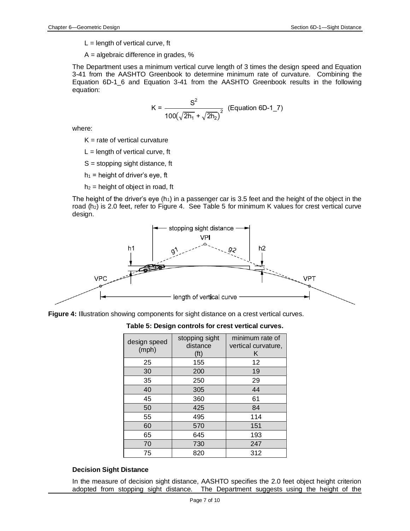- $L =$  length of vertical curve, ft
- A = algebraic difference in grades, %

The Department uses a minimum vertical curve length of 3 times the design speed and Equation 3-41 from the AASHTO Greenbook to determine minimum rate of curvature. Combining the Equation 6D-1\_6 and Equation 3-41 from the AASHTO Greenbook results in the following equation:

$$
K = \frac{S^2}{100(\sqrt{2h_1} + \sqrt{2h_2})^2}
$$
 (Equation 6D-1\_7)

where:

- $K =$  rate of vertical curvature
- $L =$  length of vertical curve, ft
- $S =$  stopping sight distance, ft
- $h_1$  = height of driver's eye, ft
- $h_2$  = height of object in road, ft

The height of the driver's eye (h<sub>1</sub>) in a passenger car is 3.5 feet and the height of the object in the road (h<sub>2</sub>) is 2.0 feet, refer to Figure 4. See Table 5 for minimum K values for crest vertical curve design.



**Figure 4:** Illustration showing components for sight distance on a crest vertical curves.

**Table 5: Design controls for crest vertical curves.**

| design speed<br>(mph) | stopping sight<br>distance<br>(ft) | minimum rate of<br>vertical curvature,<br>κ |
|-----------------------|------------------------------------|---------------------------------------------|
| 25                    | 155                                | 12                                          |
| 30                    | 200                                | 19                                          |
| 35                    | 250                                | 29                                          |
| 40                    | 305                                | 44                                          |
| 45                    | 360                                | 61                                          |
| 50                    | 425                                | 84                                          |
| 55                    | 495                                | 114                                         |
| 60                    | 570                                | 151                                         |
| 65                    | 645                                | 193                                         |
| 70                    | 730                                | 247                                         |
| 75                    | 820                                | 312                                         |

#### **Decision Sight Distance**

In the measure of decision sight distance, AASHTO specifies the 2.0 feet object height criterion adopted from stopping sight distance. The Department suggests using the height of the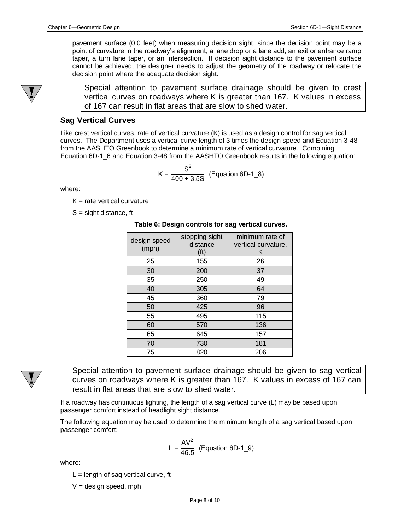pavement surface (0.0 feet) when measuring decision sight, since the decision point may be a point of curvature in the roadway's alignment, a lane drop or a lane add, an exit or entrance ramp taper, a turn lane taper, or an intersection. If decision sight distance to the pavement surface cannot be achieved, the designer needs to adjust the geometry of the roadway or relocate the decision point where the adequate decision sight.



Special attention to pavement surface drainage should be given to crest vertical curves on roadways where K is greater than 167. K values in excess of 167 can result in flat areas that are slow to shed water.

### **Sag Vertical Curves**

Like crest vertical curves, rate of vertical curvature (K) is used as a design control for sag vertical curves. The Department uses a vertical curve length of 3 times the design speed and Equation 3-48 from the AASHTO Greenbook to determine a minimum rate of vertical curvature. Combining Equation 6D-1 6 and Equation 3-48 from the AASHTO Greenbook results in the following equation:

$$
K = \frac{S^2}{400 + 3.5S}
$$
 (Equation 6D-1\_8)

where:

 $K =$  rate vertical curvature

 $S =$  sight distance, ft

| Table 6: Design controls for sag vertical curves. |
|---------------------------------------------------|
|---------------------------------------------------|

| design speed<br>(mph) | stopping sight<br>distance<br>(ft) | minimum rate of<br>vertical curvature,<br>κ |
|-----------------------|------------------------------------|---------------------------------------------|
| 25                    | 155                                | 26                                          |
| 30                    | 200                                | 37                                          |
| 35                    | 250                                | 49                                          |
| 40                    | 305                                | 64                                          |
| 45                    | 360                                | 79                                          |
| 50                    | 425                                | 96                                          |
| 55                    | 495                                | 115                                         |
| 60                    | 570                                | 136                                         |
| 65                    | 645                                | 157                                         |
| 70                    | 730                                | 181                                         |
| 75                    | 820                                | 206                                         |



Special attention to pavement surface drainage should be given to sag vertical curves on roadways where K is greater than 167. K values in excess of 167 can result in flat areas that are slow to shed water.

If a roadway has continuous lighting, the length of a sag vertical curve (L) may be based upon passenger comfort instead of headlight sight distance.

The following equation may be used to determine the minimum length of a sag vertical based upon passenger comfort:

$$
L = \frac{AV^2}{46.5}
$$
 (Equation 6D-1<sub>9</sub>)

where:

 $L =$  length of sag vertical curve, ft

 $V =$  design speed, mph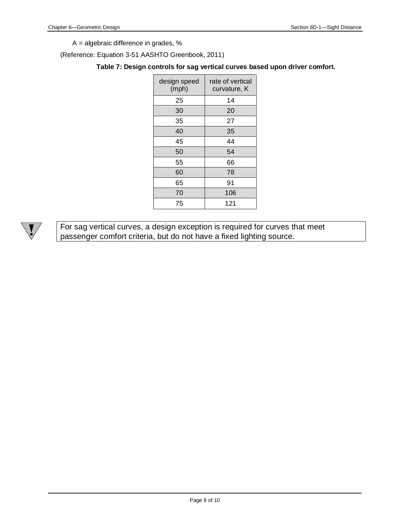A = algebraic difference in grades, %

(Reference: Equation 3-51 AASHTO Greenbook, 2011)

#### **Table 7: Design controls for sag vertical curves based upon driver comfort.**

| design speed<br>(mph) | rate of vertical<br>curvature, K |
|-----------------------|----------------------------------|
| 25                    | 14                               |
| 30                    | 20                               |
| 35                    | 27                               |
| 40                    | 35                               |
| 45                    | 44                               |
| 50                    | 54                               |
| 55                    | 66                               |
| 60                    | 78                               |
| 65                    | 91                               |
| 70                    | 106                              |
| 75                    | 121                              |



For sag vertical curves, a design exception is required for curves that meet passenger comfort criteria, but do not have a fixed lighting source.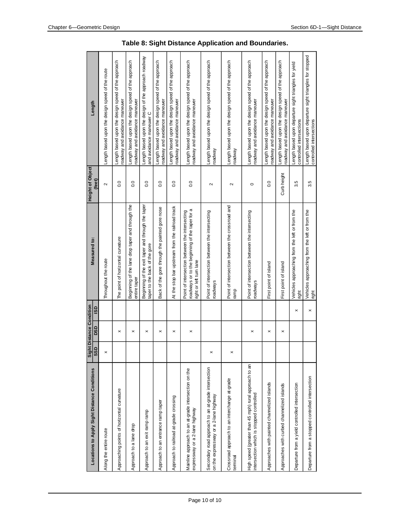| Locations to Apply Sight Distance Conditions                                                      | SSD | Sight Distance Condition<br><b>DSD</b> | <b>GSI</b>     | Measured to:                                                                                                                | <b>Height of Object</b><br>(feet) | Length                                                                               |
|---------------------------------------------------------------------------------------------------|-----|----------------------------------------|----------------|-----------------------------------------------------------------------------------------------------------------------------|-----------------------------------|--------------------------------------------------------------------------------------|
| Along the entire route                                                                            |     |                                        |                | Throughout the route                                                                                                        | $\sim$                            | Length based upon the design speed of the route                                      |
| Approaching points of horizontal curvature                                                        |     | $\times$                               |                | The point of horizontal curvature                                                                                           | 0.0                               | Length based upon the design speed of the approach<br>roadway and avoidance maneuver |
| Approach to a lane drop                                                                           |     | ×                                      |                | Beginning of the lane drop taper and through the<br>entire taper                                                            | 0.0                               | Length based upon the design speed of the approach<br>roadway and avoidance maneuver |
| Approach to an exit ramp ramp                                                                     |     | $\pmb{\times}$                         |                | Beginning of the exit taper and through the taper<br>taper to the back of the gore                                          | 0.0                               | Length based upon the design of the approach roadway<br>and avoidance maneuver C     |
| Approach to an entrance ramp taper                                                                |     | ×                                      |                | Back of the gore through the painted gore nose                                                                              | 0.0                               | Length based upon the design speed of the approach<br>roadway and avoidance maneuver |
| Approach to railroad at-grade crossing                                                            |     | ×                                      |                | At the stop bar upstream from the railroad track                                                                            | $\overline{0}$ .0                 | Length based upon the design speed of the approach<br>roadway and avoidance maneuver |
| Mainline approach to an at-grade intersection on the<br>expressway or a 2-lane highway            |     | ×                                      |                | roadways or to the beginning of the taper for a<br>Point of intersection between the intersecting<br>ight or left turn lane | 0.0                               | Length based upon the design speed of the approach<br>roadway and avoidance maneuver |
| Secondary road approach to an at-grade intersection<br>on the expressway or a 2-lane highway      |     |                                        |                | Point of intersection between the intersecting<br>roadways                                                                  | $\sim$                            | Length based upon the design speed of the approach<br>roadway                        |
| Crossroad approach to an interchange at-grade<br>terminal                                         |     |                                        |                | Point of intersection between the crossroad and<br>ramp                                                                     | $\sim$                            | Length based upon the design speed of the approach<br>roadway                        |
| High speed (greater than 45 mph) rural approach to an<br>intersection which is stopped controlled |     | ×                                      |                | Point of intersection between the intersecting<br>roadways                                                                  | $\circ$                           | Length based upon the design speed of the approach<br>roadway and avoidance maneuver |
| Approaches with painted channelized islands                                                       |     | ×                                      |                | First point of island                                                                                                       | 0.0                               | Length based upon the design speed of the approach<br>roadway and avoidance maneuver |
| Approaches with curbed channelized islands                                                        |     | $\boldsymbol{\times}$                  |                | First point of island                                                                                                       | Curb height                       | Length based upon the design speed of the approach<br>roadway and avoidance maneuver |
| Departure from a yield controlled intersection                                                    |     |                                        | ×              | Vehicles approaching from the left or from the<br>right                                                                     | 3.5                               | Length based upon departure sight triangles for yield<br>controlled intersections    |
| Departure from a stopped controlled intersection                                                  |     |                                        | $\pmb{\times}$ | Vehicles approaching from the left or from the<br>right                                                                     | 3.5                               | Length based upon departure sight triangles for stopped<br>controlled intersections  |

| Table 8: Sight Distance Application and Boundaries. |  |  |
|-----------------------------------------------------|--|--|
|-----------------------------------------------------|--|--|